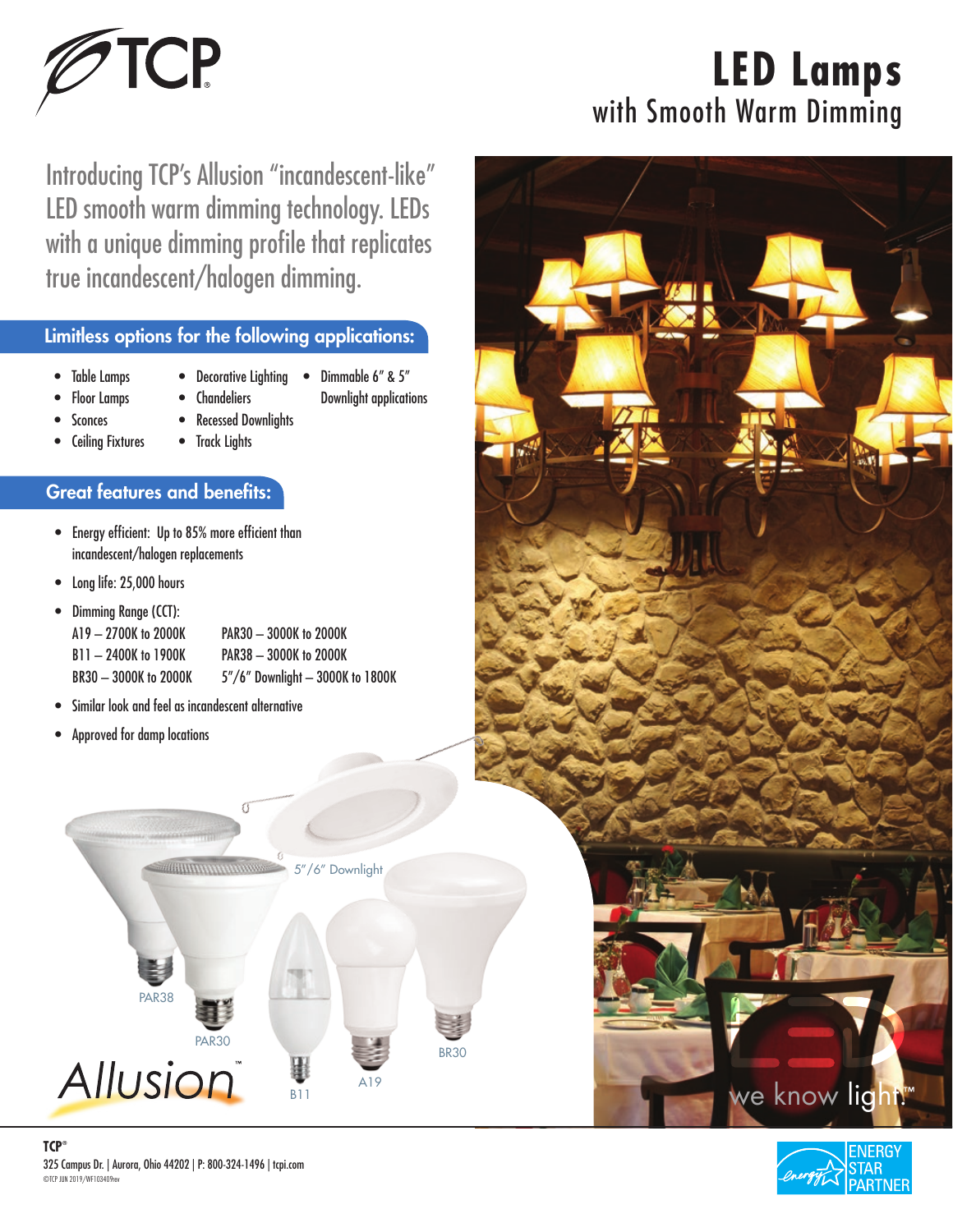

# **LED Lamps** with Smooth Warm Dimming

Introducing TCP's Allusion "incandescent-like" LED smooth warm dimming technology. LEDs with a unique dimming profile that replicates true incandescent/halogen dimming.

#### Limitless options for the following applications:

- Table Lamps
- Decorative Lighting • Dimmable 6" & 5" Downlight applications
- Floor Lamps • Sconces
- **Chandeliers** • Recessed Downlights
- Ceiling Fixtures
	- Track Lights

#### Great features and benefits:

- Energy efficient: Up to 85% more efficient than incandescent/halogen replacements
- Long life: 25,000 hours

| • Dimming Range (CCT): |                                  |
|------------------------|----------------------------------|
| A19 - 2700K to 2000K   | PAR30 - 3000K to 2000K           |
| $B11 - 2400K$ to 1900K | PAR38 - 3000K to 2000K           |
| BR30 - 3000K to 2000K  | 5"/6" Downlight - 3000K to 1800K |

- Similar look and feel as incandescent alternative
- Approved for damp locations